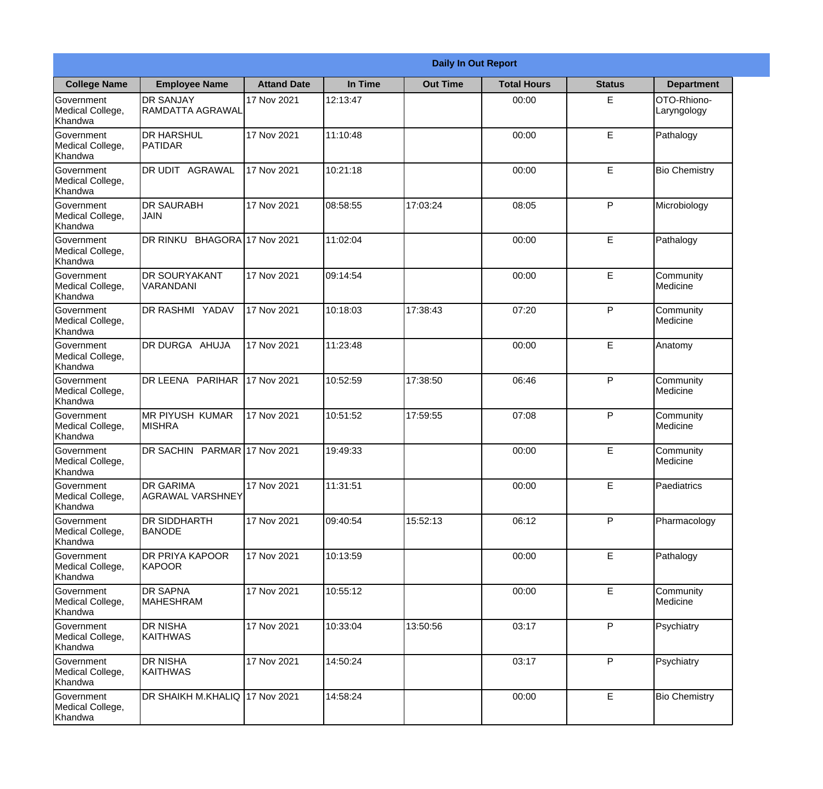|                                                  | <b>Daily In Out Report</b>                  |                     |          |                 |                    |               |                            |  |  |  |
|--------------------------------------------------|---------------------------------------------|---------------------|----------|-----------------|--------------------|---------------|----------------------------|--|--|--|
| <b>College Name</b>                              | <b>Employee Name</b>                        | <b>Attand Date</b>  | In Time  | <b>Out Time</b> | <b>Total Hours</b> | <b>Status</b> | <b>Department</b>          |  |  |  |
| Government<br>Medical College,<br>Khandwa        | <b>DR SANJAY</b><br>RAMDATTA AGRAWAL        | 17 Nov 2021         | 12:13:47 |                 | 00:00              | E             | OTO-Rhiono-<br>Laryngology |  |  |  |
| Government<br>Medical College,<br>Khandwa        | <b>DR HARSHUL</b><br><b>PATIDAR</b>         | 17 Nov 2021         | 11:10:48 |                 | 00:00              | E             | Pathalogy                  |  |  |  |
| <b>Government</b><br>Medical College,<br>Khandwa | DR UDIT AGRAWAL                             | 17 Nov 2021         | 10:21:18 |                 | 00:00              | E             | <b>Bio Chemistry</b>       |  |  |  |
| Government<br>Medical College,<br>Khandwa        | <b>DR SAURABH</b><br><b>JAIN</b>            | 17 Nov 2021         | 08:58:55 | 17:03:24        | 08:05              | P             | Microbiology               |  |  |  |
| <b>Government</b><br>Medical College,<br>Khandwa | <b>DR RINKU</b>                             | BHAGORA 17 Nov 2021 | 11:02:04 |                 | 00:00              | E             | Pathalogy                  |  |  |  |
| Government<br>Medical College,<br>Khandwa        | <b>DR SOURYAKANT</b><br>VARANDANI           | 17 Nov 2021         | 09:14:54 |                 | 00:00              | E             | Community<br>Medicine      |  |  |  |
| Government<br>Medical College,<br>Khandwa        | DR RASHMI YADAV                             | 17 Nov 2021         | 10:18:03 | 17:38:43        | 07:20              | P             | Community<br>Medicine      |  |  |  |
| Government<br>Medical College,<br>Khandwa        | DR DURGA AHUJA                              | 17 Nov 2021         | 11:23:48 |                 | 00:00              | E             | Anatomy                    |  |  |  |
| <b>Government</b><br>Medical College,<br>Khandwa | DR LEENA PARIHAR                            | 17 Nov 2021         | 10:52:59 | 17:38:50        | 06:46              | P             | Community<br>Medicine      |  |  |  |
| Government<br>Medical College,<br>Khandwa        | MR PIYUSH KUMAR<br><b>MISHRA</b>            | 17 Nov 2021         | 10:51:52 | 17:59:55        | 07:08              | P             | Community<br>Medicine      |  |  |  |
| Government<br>Medical College,<br>Khandwa        | DR SACHIN PARMAR 17 Nov 2021                |                     | 19:49:33 |                 | 00:00              | E             | Community<br>Medicine      |  |  |  |
| Government<br>Medical College,<br>Khandwa        | <b>DR GARIMA</b><br><b>AGRAWAL VARSHNEY</b> | 17 Nov 2021         | 11:31:51 |                 | 00:00              | E             | Paediatrics                |  |  |  |
| Government<br>Medical College,<br>Khandwa        | <b>DR SIDDHARTH</b><br><b>BANODE</b>        | 17 Nov 2021         | 09:40:54 | 15:52:13        | 06:12              | P             | Pharmacology               |  |  |  |
| Government<br>Medical College,<br>Khandwa        | DR PRIYA KAPOOR<br>KAPOOR                   | 17 Nov 2021         | 10:13:59 |                 | 00:00              | E             | Pathalogy                  |  |  |  |
| Government<br>Medical College,<br>Khandwa        | <b>DR SAPNA</b><br><b>MAHESHRAM</b>         | 17 Nov 2021         | 10:55:12 |                 | 00:00              | E             | Community<br>Medicine      |  |  |  |
| Government<br>Medical College,<br>Khandwa        | <b>DR NISHA</b><br><b>KAITHWAS</b>          | 17 Nov 2021         | 10:33:04 | 13:50:56        | 03:17              | P             | Psychiatry                 |  |  |  |
| Government<br>Medical College,<br>Khandwa        | <b>DR NISHA</b><br>KAITHWAS                 | 17 Nov 2021         | 14:50:24 |                 | 03:17              | P             | Psychiatry                 |  |  |  |
| Government<br>Medical College,<br>Khandwa        | DR SHAIKH M.KHALIQ                          | 17 Nov 2021         | 14:58:24 |                 | 00:00              | E             | <b>Bio Chemistry</b>       |  |  |  |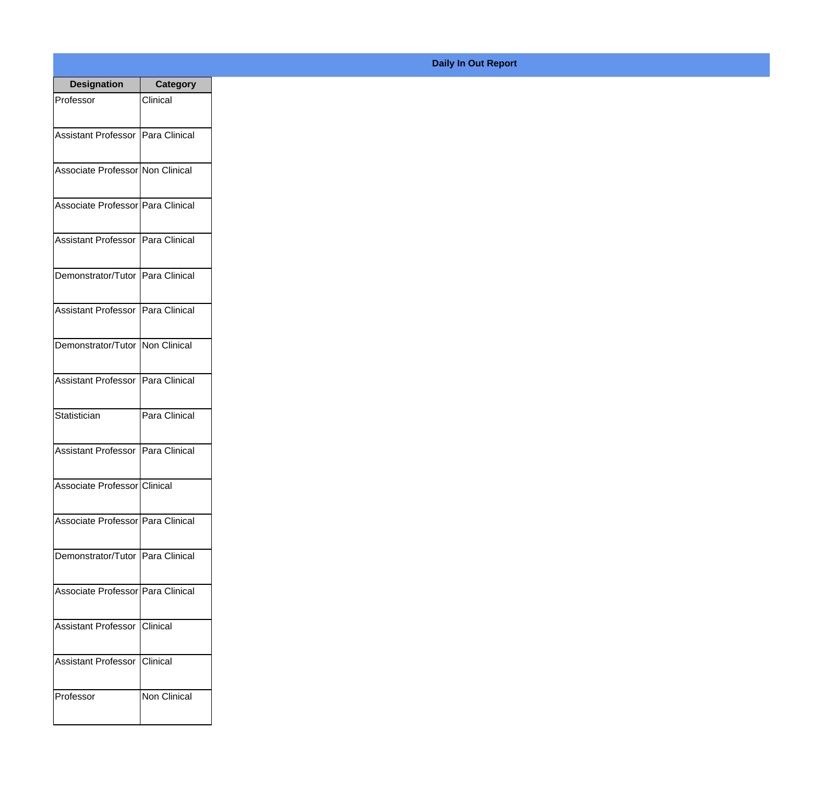| <b>Designation</b>                  | <b>Category</b> |
|-------------------------------------|-----------------|
| Professor                           | Clinical        |
|                                     |                 |
| Assistant Professor Para Clinical   |                 |
|                                     |                 |
| Associate Professor Non Clinical    |                 |
| Associate Professor Para Clinical   |                 |
|                                     |                 |
| Assistant Professor Para Clinical   |                 |
|                                     |                 |
| Demonstrator/Tutor Para Clinical    |                 |
|                                     |                 |
| Assistant Professor Para Clinical   |                 |
| Demonstrator/Tutor Non Clinical     |                 |
|                                     |                 |
| Assistant Professor Para Clinical   |                 |
|                                     |                 |
| Statistician                        | Para Clinical   |
|                                     |                 |
| Assistant Professor   Para Clinical |                 |
| Associate Professor Clinical        |                 |
|                                     |                 |
| Associate Professor Para Clinical   |                 |
|                                     |                 |
| Demonstrator/Tutor Para Clinical    |                 |
| Associate Professor Para Clinical   |                 |
|                                     |                 |
| Assistant Professor Clinical        |                 |
|                                     |                 |
| Assistant Professor Clinical        |                 |
|                                     |                 |
| Professor                           | Non Clinical    |
|                                     |                 |